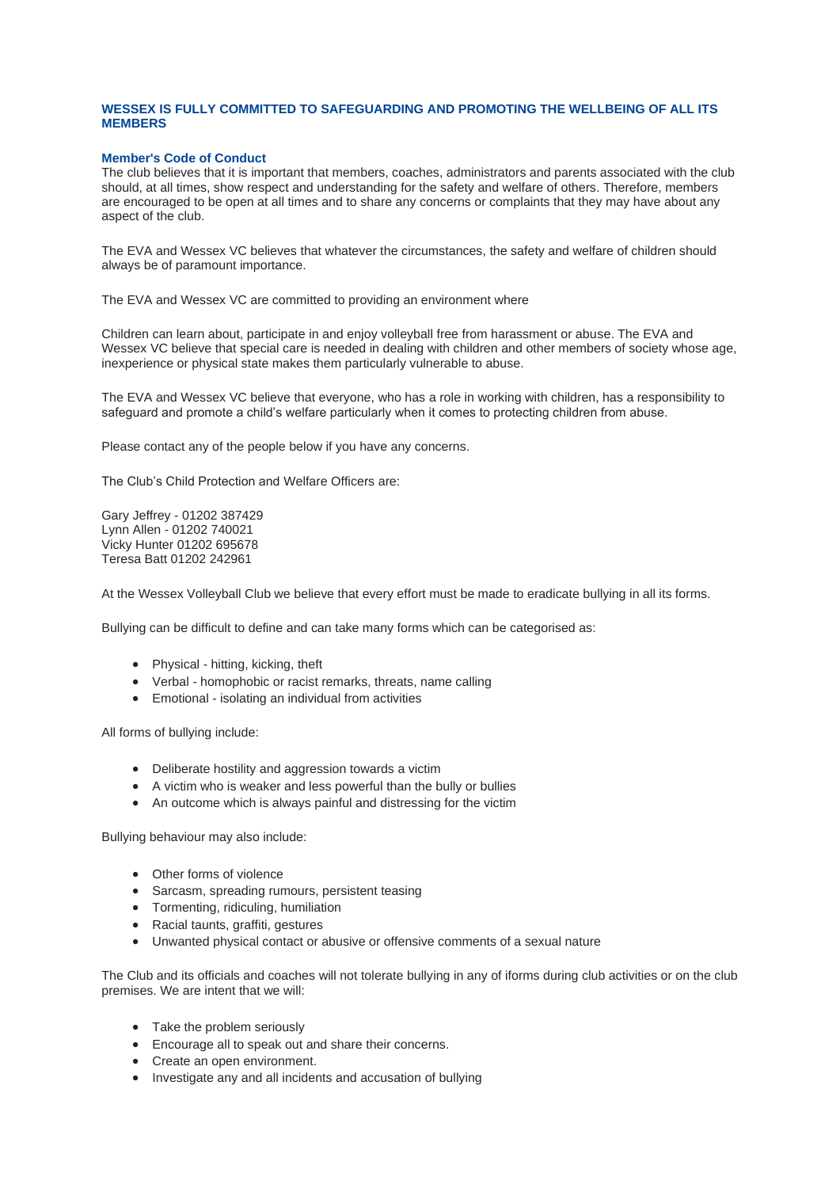## **WESSEX IS FULLY COMMITTED TO SAFEGUARDING AND PROMOTING THE WELLBEING OF ALL ITS MEMBERS**

## **Member's Code of Conduct**

The club believes that it is important that members, coaches, administrators and parents associated with the club should, at all times, show respect and understanding for the safety and welfare of others. Therefore, members are encouraged to be open at all times and to share any concerns or complaints that they may have about any aspect of the club.

The EVA and Wessex VC believes that whatever the circumstances, the safety and welfare of children should always be of paramount importance.

The EVA and Wessex VC are committed to providing an environment where

Children can learn about, participate in and enjoy volleyball free from harassment or abuse. The EVA and Wessex VC believe that special care is needed in dealing with children and other members of society whose age, inexperience or physical state makes them particularly vulnerable to abuse.

The EVA and Wessex VC believe that everyone, who has a role in working with children, has a responsibility to safeguard and promote a child's welfare particularly when it comes to protecting children from abuse.

Please contact any of the people below if you have any concerns.

The Club's Child Protection and Welfare Officers are:

Gary Jeffrey - 01202 387429 Lynn Allen - 01202 740021 Vicky Hunter 01202 695678 Teresa Batt 01202 242961

At the Wessex Volleyball Club we believe that every effort must be made to eradicate bullying in all its forms.

Bullying can be difficult to define and can take many forms which can be categorised as:

- Physical hitting, kicking, theft
- Verbal homophobic or racist remarks, threats, name calling
- Emotional isolating an individual from activities

All forms of bullying include:

- Deliberate hostility and aggression towards a victim
- A victim who is weaker and less powerful than the bully or bullies
- An outcome which is always painful and distressing for the victim

Bullying behaviour may also include:

- Other forms of violence
- Sarcasm, spreading rumours, persistent teasing
- Tormenting, ridiculing, humiliation
- Racial taunts, graffiti, gestures
- Unwanted physical contact or abusive or offensive comments of a sexual nature

The Club and its officials and coaches will not tolerate bullying in any of iforms during club activities or on the club premises. We are intent that we will:

- Take the problem seriously
- Encourage all to speak out and share their concerns.
- Create an open environment.
- Investigate any and all incidents and accusation of bullying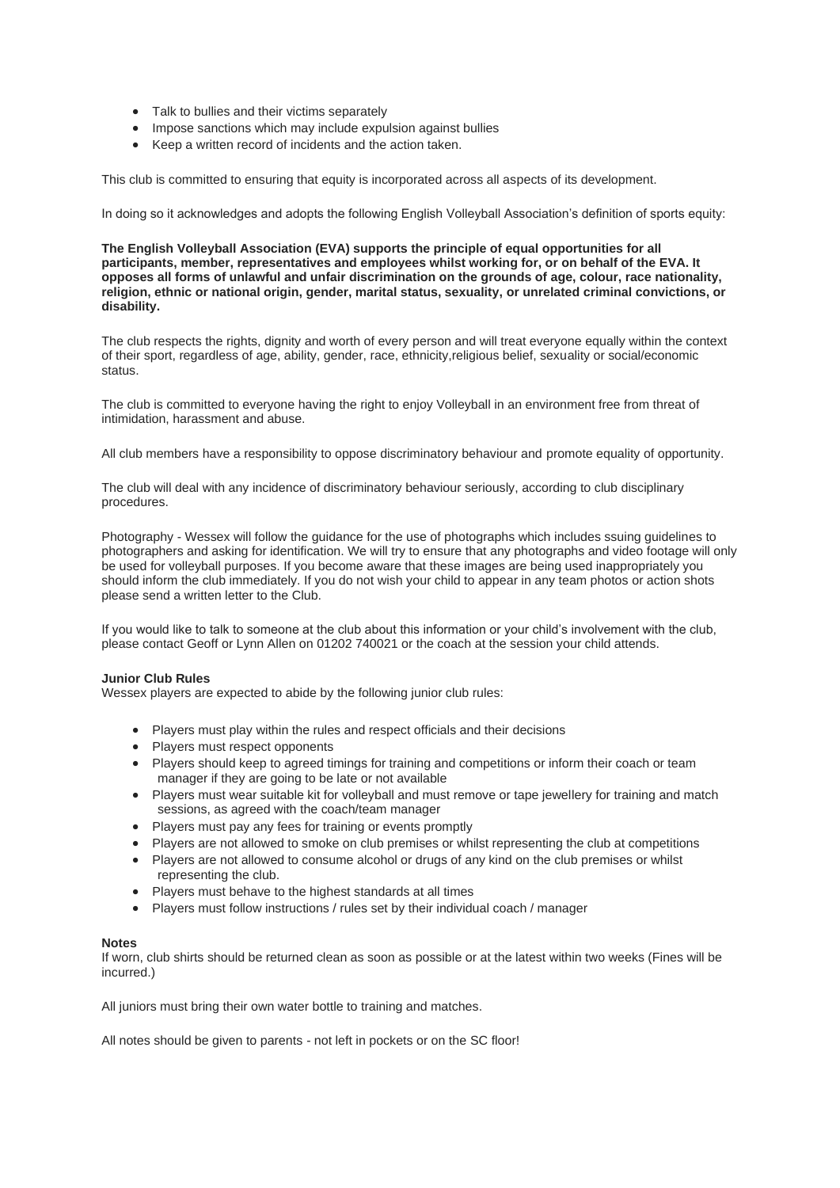- Talk to bullies and their victims separately
- Impose sanctions which may include expulsion against bullies
- Keep a written record of incidents and the action taken.

This club is committed to ensuring that equity is incorporated across all aspects of its development.

In doing so it acknowledges and adopts the following English Volleyball Association's definition of sports equity:

**The English Volleyball Association (EVA) supports the principle of equal opportunities for all participants, member, representatives and employees whilst working for, or on behalf of the EVA. It opposes all forms of unlawful and unfair discrimination on the grounds of age, colour, race nationality, religion, ethnic or national origin, gender, marital status, sexuality, or unrelated criminal convictions, or disability.**

The club respects the rights, dignity and worth of every person and will treat everyone equally within the context of their sport, regardless of age, ability, gender, race, ethnicity,religious belief, sexuality or social/economic status.

The club is committed to everyone having the right to enjoy Volleyball in an environment free from threat of intimidation, harassment and abuse.

All club members have a responsibility to oppose discriminatory behaviour and promote equality of opportunity.

The club will deal with any incidence of discriminatory behaviour seriously, according to club disciplinary procedures.

Photography - Wessex will follow the guidance for the use of photographs which includes ssuing guidelines to photographers and asking for identification. We will try to ensure that any photographs and video footage will only be used for volleyball purposes. If you become aware that these images are being used inappropriately you should inform the club immediately. If you do not wish your child to appear in any team photos or action shots please send a written letter to the Club.

If you would like to talk to someone at the club about this information or your child's involvement with the club, please contact Geoff or Lynn Allen on 01202 740021 or the coach at the session your child attends.

### **Junior Club Rules**

Wessex players are expected to abide by the following junior club rules:

- Players must play within the rules and respect officials and their decisions
- Players must respect opponents
- Players should keep to agreed timings for training and competitions or inform their coach or team manager if they are going to be late or not available
- Players must wear suitable kit for volleyball and must remove or tape jewellery for training and match sessions, as agreed with the coach/team manager
- Players must pay any fees for training or events promptly
- Players are not allowed to smoke on club premises or whilst representing the club at competitions
- Players are not allowed to consume alcohol or drugs of any kind on the club premises or whilst representing the club.
- Players must behave to the highest standards at all times
- Players must follow instructions / rules set by their individual coach / manager

#### **Notes**

If worn, club shirts should be returned clean as soon as possible or at the latest within two weeks (Fines will be incurred.)

All juniors must bring their own water bottle to training and matches.

All notes should be given to parents - not left in pockets or on the SC floor!